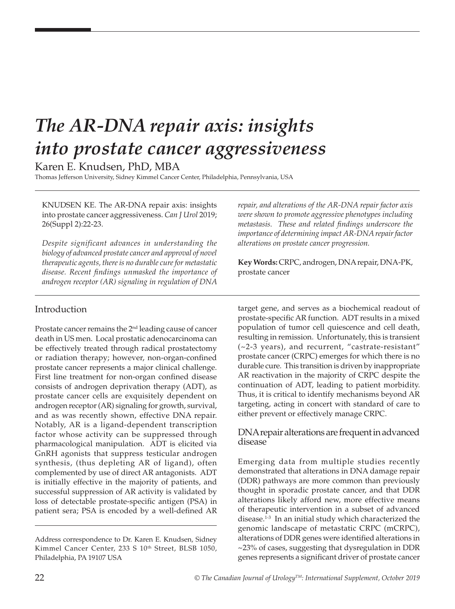# *The AR-DNA repair axis: insights into prostate cancer aggressiveness*

Karen E. Knudsen, PhD, MBA

Thomas Jefferson University, Sidney Kimmel Cancer Center, Philadelphia, Pennsylvania, USA

KNUDSEN KE. The AR-DNA repair axis: insights into prostate cancer aggressiveness. *Can J Urol* 2019; 26(Suppl 2):22-23.

*Despite significant advances in understanding the biology of advanced prostate cancer and approval of novel therapeutic agents, there is no durable cure for metastatic disease. Recent findings unmasked the importance of androgen receptor (AR) signaling in regulation of DNA* 

## Introduction

Prostate cancer remains the 2<sup>nd</sup> leading cause of cancer death in US men. Local prostatic adenocarcinoma can be effectively treated through radical prostatectomy or radiation therapy; however, non-organ-confined prostate cancer represents a major clinical challenge. First line treatment for non-organ confined disease consists of androgen deprivation therapy (ADT), as prostate cancer cells are exquisitely dependent on androgen receptor (AR) signaling for growth, survival, and as was recently shown, effective DNA repair. Notably, AR is a ligand-dependent transcription factor whose activity can be suppressed through pharmacological manipulation. ADT is elicited via GnRH agonists that suppress testicular androgen synthesis, (thus depleting AR of ligand), often complemented by use of direct AR antagonists. ADT is initially effective in the majority of patients, and successful suppression of AR activity is validated by loss of detectable prostate-specific antigen (PSA) in patient sera; PSA is encoded by a well-defined AR

*repair, and alterations of the AR-DNA repair factor axis were shown to promote aggressive phenotypes including metastasis. These and related findings underscore the importance of determining impact AR-DNA repair factor alterations on prostate cancer progression.* 

**Key Words:** CRPC, androgen, DNA repair, DNA-PK, prostate cancer

target gene, and serves as a biochemical readout of prostate-specific AR function. ADT results in a mixed population of tumor cell quiescence and cell death, resulting in remission. Unfortunately, this is transient (~2-3 years), and recurrent, "castrate-resistant" prostate cancer (CRPC) emerges for which there is no durable cure. This transition is driven by inappropriate AR reactivation in the majority of CRPC despite the continuation of ADT, leading to patient morbidity. Thus, it is critical to identify mechanisms beyond AR targeting, acting in concert with standard of care to either prevent or effectively manage CRPC.

### DNA repair alterations are frequent in advanced disease

Emerging data from multiple studies recently demonstrated that alterations in DNA damage repair (DDR) pathways are more common than previously thought in sporadic prostate cancer, and that DDR alterations likely afford new, more effective means of therapeutic intervention in a subset of advanced disease.1-3 In an initial study which characterized the genomic landscape of metastatic CRPC (mCRPC), alterations of DDR genes were identified alterations in ~23% of cases, suggesting that dysregulation in DDR genes represents a significant driver of prostate cancer

Address correspondence to Dr. Karen E. Knudsen, Sidney Kimmel Cancer Center, 233 S 10<sup>th</sup> Street, BLSB 1050, Philadelphia, PA 19107 USA